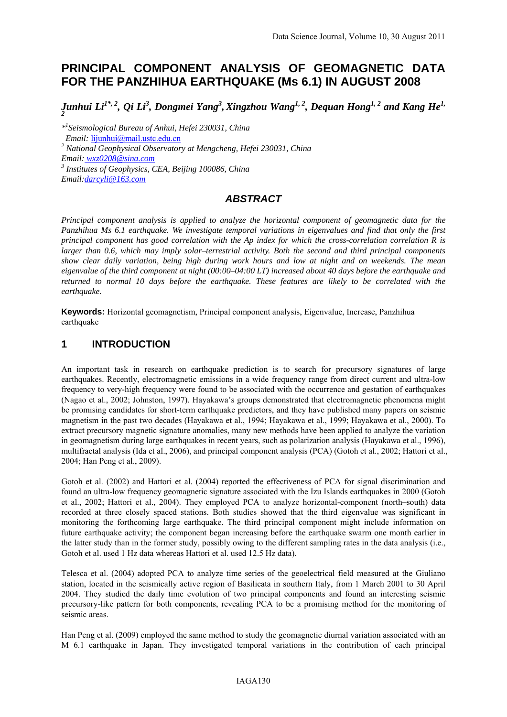# **PRINCIPAL COMPONENT ANALYSIS OF GEOMAGNETIC DATA FOR THE PANZHIHUA EARTHQUAKE (Ms 6.1) IN AUGUST 2008**

*Junhui Li* $^{I^*,2}$ *, Qi Li* $^3$ *, Dongmei Yang* $^3$ *, Xingzhou Wang* $^{I,\,2}$ *, Dequan Hong* $^{I,\,2}$  *and Kang He* $^{I,\,}$ 

*\*1 Seismological Bureau of Anhui, Hefei 230031, China* 

 *Email:* lijunhui@mail.ustc.edu.cn

*2 National Geophysical Observatory at Mengcheng, Hefei 230031, China* 

*Email: wxz0208@sina.com*

*3 Institutes of Geophysics, CEA, Beijing 100086, China* 

*Email:darcyli@163.com*

# *ABSTRACT*

*Principal component analysis is applied to analyze the horizontal component of geomagnetic data for the Panzhihua Ms 6.1 earthquake. We investigate temporal variations in eigenvalues and find that only the first principal component has good correlation with the Ap index for which the cross-correlation correlation R is larger than 0.6, which may imply solar–terrestrial activity. Both the second and third principal components show clear daily variation, being high during work hours and low at night and on weekends. The mean eigenvalue of the third component at night (00:00–04:00 LT) increased about 40 days before the earthquake and returned to normal 10 days before the earthquake. These features are likely to be correlated with the earthquake.* 

**Keywords:** Horizontal geomagnetism, Principal component analysis, Eigenvalue, Increase, Panzhihua earthquake

# **1 INTRODUCTION**

An important task in research on earthquake prediction is to search for precursory signatures of large earthquakes. Recently, electromagnetic emissions in a wide frequency range from direct current and ultra-low frequency to very-high frequency were found to be associated with the occurrence and gestation of earthquakes (Nagao et al., 2002; Johnston, 1997). Hayakawa's groups demonstrated that electromagnetic phenomena might be promising candidates for short-term earthquake predictors, and they have published many papers on seismic magnetism in the past two decades (Hayakawa et al., 1994; Hayakawa et al., 1999; Hayakawa et al., 2000). To extract precursory magnetic signature anomalies, many new methods have been applied to analyze the variation in geomagnetism during large earthquakes in recent years, such as polarization analysis (Hayakawa et al., 1996), multifractal analysis (Ida et al., 2006), and principal component analysis (PCA) (Gotoh et al., 2002; Hattori et al., 2004; Han Peng et al., 2009).

Gotoh et al. (2002) and Hattori et al. (2004) reported the effectiveness of PCA for signal discrimination and found an ultra-low frequency geomagnetic signature associated with the Izu Islands earthquakes in 2000 (Gotoh et al., 2002; Hattori et al., 2004). They employed PCA to analyze horizontal-component (north–south) data recorded at three closely spaced stations. Both studies showed that the third eigenvalue was significant in monitoring the forthcoming large earthquake. The third principal component might include information on future earthquake activity; the component began increasing before the earthquake swarm one month earlier in the latter study than in the former study, possibly owing to the different sampling rates in the data analysis (i.e., Gotoh et al. used 1 Hz data whereas Hattori et al. used 12.5 Hz data).

Telesca et al. (2004) adopted PCA to analyze time series of the geoelectrical field measured at the Giuliano station, located in the seismically active region of Basilicata in southern Italy, from 1 March 2001 to 30 April 2004. They studied the daily time evolution of two principal components and found an interesting seismic precursory-like pattern for both components, revealing PCA to be a promising method for the monitoring of seismic areas.

Han Peng et al. (2009) employed the same method to study the geomagnetic diurnal variation associated with an M 6.1 earthquake in Japan. They investigated temporal variations in the contribution of each principal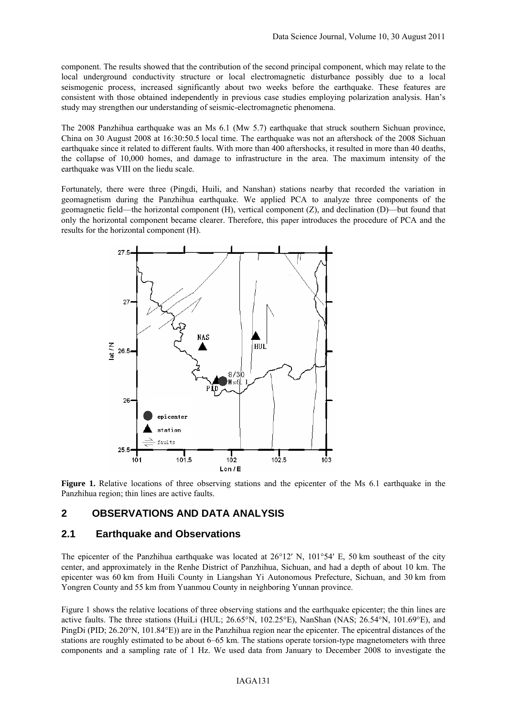component. The results showed that the contribution of the second principal component, which may relate to the local underground conductivity structure or local electromagnetic disturbance possibly due to a local seismogenic process, increased significantly about two weeks before the earthquake. These features are consistent with those obtained independently in previous case studies employing polarization analysis. Han's study may strengthen our understanding of seismic-electromagnetic phenomena.

The 2008 Panzhihua earthquake was an Ms 6.1 (Mw 5.7) earthquake that struck southern Sichuan province, China on 30 August 2008 at 16:30:50.5 local time. The earthquake was not an aftershock of the 2008 Sichuan earthquake since it related to different faults. With more than 400 aftershocks, it resulted in more than 40 deaths, the collapse of 10,000 homes, and damage to infrastructure in the area. The maximum intensity of the earthquake was VIII on the liedu scale.

Fortunately, there were three (Pingdi, Huili, and Nanshan) stations nearby that recorded the variation in geomagnetism during the Panzhihua earthquake. We applied PCA to analyze three components of the geomagnetic field—the horizontal component (H), vertical component (Z), and declination (D)—but found that only the horizontal component became clearer. Therefore, this paper introduces the procedure of PCA and the results for the horizontal component (H).



**Figure 1.** Relative locations of three observing stations and the epicenter of the Ms 6.1 earthquake in the Panzhihua region; thin lines are active faults.

#### **2 OBSERVATIONS AND DATA ANALYSIS**

#### **2.1 Earthquake and Observations**

The epicenter of the Panzhihua earthquake was located at  $26^{\circ}12'$  N,  $101^{\circ}54'$  E, 50 km southeast of the city center, and approximately in the Renhe District of Panzhihua, Sichuan, and had a depth of about 10 km. The epicenter was 60 km from Huili County in Liangshan Yi Autonomous Prefecture, Sichuan, and 30 km from Yongren County and 55 km from Yuanmou County in neighboring Yunnan province.

Figure 1 shows the relative locations of three observing stations and the earthquake epicenter; the thin lines are active faults. The three stations (HuiLi (HUL; 26.65°N, 102.25°E), NanShan (NAS; 26.54°N, 101.69°E), and PingDi (PID; 26.20°N, 101.84°E)) are in the Panzhihua region near the epicenter. The epicentral distances of the stations are roughly estimated to be about 6–65 km. The stations operate torsion-type magnetometers with three components and a sampling rate of 1 Hz. We used data from January to December 2008 to investigate the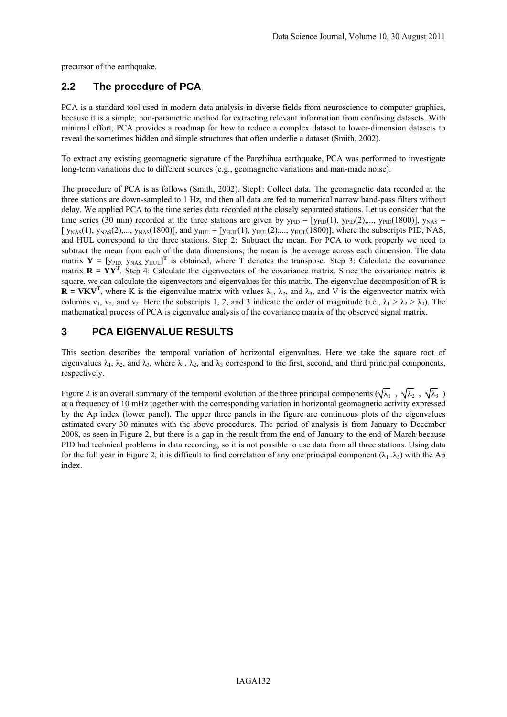precursor of the earthquake.

# **2.2 The procedure of PCA**

PCA is a standard tool used in modern data analysis in diverse fields from neuroscience to computer graphics, because it is a simple, non-parametric method for extracting relevant information from confusing datasets. With minimal effort, PCA provides a roadmap for how to reduce a complex dataset to lower-dimension datasets to reveal the sometimes hidden and simple structures that often underlie a dataset (Smith, 2002).

To extract any existing geomagnetic signature of the Panzhihua earthquake, PCA was performed to investigate long-term variations due to different sources (e.g., geomagnetic variations and man-made noise).

The procedure of PCA is as follows (Smith, 2002). Step1: Collect data. The geomagnetic data recorded at the three stations are down-sampled to 1 Hz, and then all data are fed to numerical narrow band-pass filters without delay. We applied PCA to the time series data recorded at the closely separated stations. Let us consider that the time series (30 min) recorded at the three stations are given by  $y_{PID} = [y_{PID}(1), y_{PID}(2),..., y_{PID}(1800)]$ ,  $y_{NAS} =$ [  $y_{NAS}(1)$ ,  $y_{NAS}(2)$ ,...,  $y_{NAS}(1800)$ ], and  $y_{HUL} = [y_{HUL}(1), y_{HUL}(2),..., y_{HUL}(1800)]$ , where the subscripts PID, NAS, and HUL correspond to the three stations. Step 2: Subtract the mean. For PCA to work properly we need to subtract the mean from each of the data dimensions; the mean is the average across each dimension. The data matrix  $Y = [y_{PID} \, y_{NAS} \, y_{HUL}]^T$  is obtained, where T denotes the transpose. Step 3: Calculate the covariance matrix  $\mathbf{R} = \mathbf{YY}^T$ . Step 4: Calculate the eigenvectors of the covariance matrix. Since the covariance matrix is square, we can calculate the eigenvectors and eigenvalues for this matrix. The eigenvalue decomposition of **R** is  $\mathbf{R} = \mathbf{V}\mathbf{K}\mathbf{V}^T$ , where K is the eigenvalue matrix with values  $\lambda_1$ ,  $\lambda_2$ , and  $\lambda_3$ , and V is the eigenvector matrix with columns  $v_1$ ,  $v_2$ , and  $v_3$ . Here the subscripts 1, 2, and 3 indicate the order of magnitude (i.e.,  $\lambda_1 > \lambda_2 > \lambda_3$ ). The mathematical process of PCA is eigenvalue analysis of the covariance matrix of the observed signal matrix.

#### **3 PCA EIGENVALUE RESULTS**

This section describes the temporal variation of horizontal eigenvalues. Here we take the square root of eigenvalues  $\lambda_1$ ,  $\lambda_2$ , and  $\lambda_3$ , where  $\lambda_1$ ,  $\lambda_2$ , and  $\lambda_3$  correspond to the first, second, and third principal components, respectively.

Figure 2 is an overall summary of the temporal evolution of the three principal components ( $\sqrt{\lambda_1}$ ,  $\sqrt{\lambda_2}$ ,  $\sqrt{\lambda_3}$ ) at a frequency of 10 mHz together with the corresponding variation in horizontal geomagnetic activity expressed by the Ap index (lower panel). The upper three panels in the figure are continuous plots of the eigenvalues estimated every 30 minutes with the above procedures. The period of analysis is from January to December 2008, as seen in Figure 2, but there is a gap in the result from the end of January to the end of March because PID had technical problems in data recording, so it is not possible to use data from all three stations. Using data for the full year in Figure 2, it is difficult to find correlation of any one principal component ( $\lambda_1 - \lambda_3$ ) with the Ap index.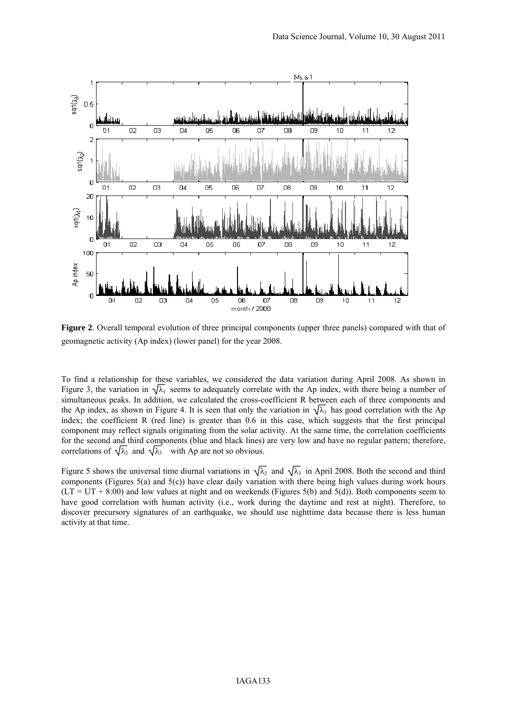

**Figure 2**. Overall temporal evolution of three principal components (upper three panels) compared with that of geomagnetic activity (Ap index) (lower panel) for the year 2008.

To find a relationship for these variables, we considered the data variation during April 2008. As shown in Figure 3, the variation in  $\sqrt{\lambda_1}$  seems to adequately correlate with the Ap index, with there being a number of simultaneous peaks. In addition, we calculated the cross-coefficient R between each of three components and the Ap index, as shown in Figure 4. It is seen that only the variation in  $\sqrt{\lambda_1}$  has good correlation with the Ap index; the coefficient R (red line) is greater than 0.6 in this case, which suggests that the first principal component may reflect signals originating from the solar activity. At the same time, the correlation coefficients for the second and third components (blue and black lines) are very low and have no regular pattern; therefore, correlations of  $\sqrt{\lambda_2}$  and  $\sqrt{\lambda_3}$  with Ap are not so obvious.

Figure 5 shows the universal time diurnal variations in  $\sqrt{\lambda_2}$  and  $\sqrt{\lambda_3}$  in April 2008. Both the second and third components (Figures 5(a) and 5(c)) have clear daily variation with there being high values during work hours  $(LT = UT + 8:00)$  and low values at night and on weekends (Figures 5(b) and 5(d)). Both components seem to have good correlation with human activity (i.e., work during the daytime and rest at night). Therefore, to discover precursory signatures of an earthquake, we should use nighttime data because there is less human activity at that time.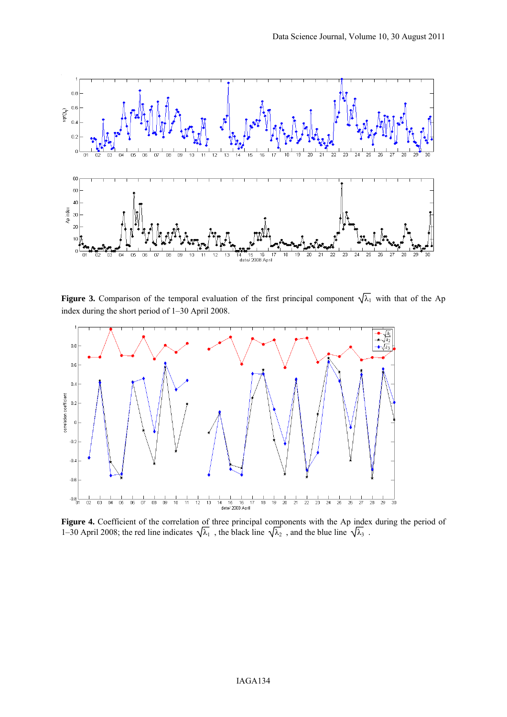

**Figure 3.** Comparison of the temporal evaluation of the first principal component  $\sqrt{\lambda_1}$  with that of the Ap index during the short period of 1–30 April 2008.



**Figure 4.** Coefficient of the correlation of three principal components with the Ap index during the period of 1–30 April 2008; the red line indicates  $\sqrt{\lambda_1}$ , the black line  $\sqrt{\lambda_2}$ , and the blue line  $\sqrt{\lambda_3}$ .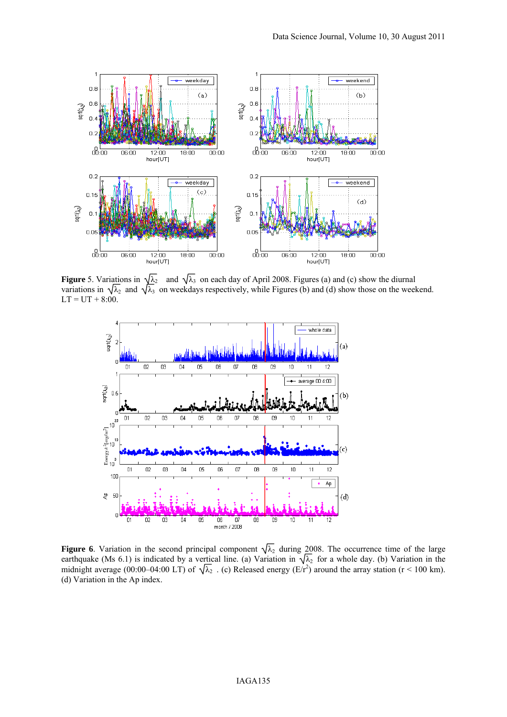

**Figure** 5. Variations in  $\sqrt{\lambda_2}$  and  $\sqrt{\lambda_3}$  on each day of April 2008. Figures (a) and (c) show the diurnal variations in  $\sqrt{\lambda_2}$  and  $\sqrt{\lambda_3}$  on weekdays respectively, while Figures (b) and (d) show those on the weekend.  $LT = UT + 8:00$ .



**Figure** 6. Variation in the second principal component  $\sqrt{\lambda_2}$  during 2008. The occurrence time of the large earthquake (Ms 6.1) is indicated by a vertical line. (a) Variation in  $\sqrt{\lambda_2}$  for a whole day. (b) Variation in the midnight average (00:00–04:00 LT) of  $\sqrt{\lambda_2}$ . (c) Released energy (E/r<sup>2</sup>) around the array station (r < 100 km). (d) Variation in the Ap index.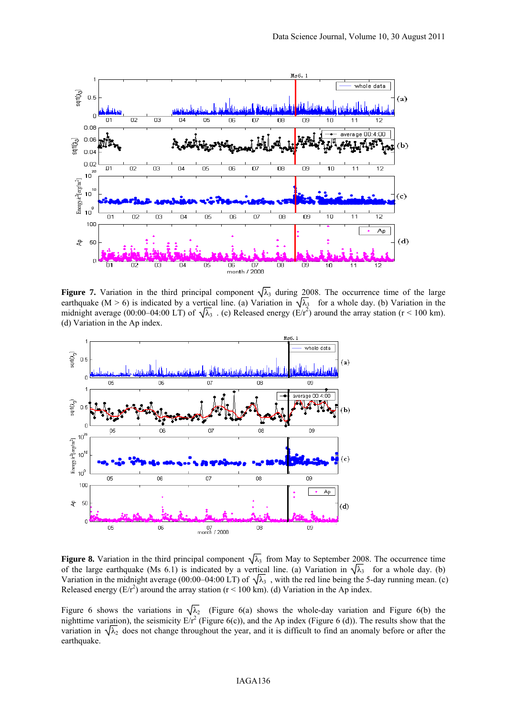

**Figure 7.** Variation in the third principal component  $\sqrt{\lambda_3}$  during 2008. The occurrence time of the large earthquake (M > 6) is indicated by a vertical line. (a) Variation in  $\sqrt{\lambda_3}$  for a whole day. (b) Variation in the midnight average (00:00–04:00 LT) of  $\sqrt{\lambda_3}$ . (c) Released energy (E/r<sup>2</sup>) around the array station (r < 100 km). (d) Variation in the Ap index.



**Figure 8.** Variation in the third principal component  $\sqrt{\lambda_3}$  from May to September 2008. The occurrence time of the large earthquake (Ms 6.1) is indicated by a vertical line. (a) Variation in  $\sqrt{\lambda_3}$  for a whole day. (b) Variation in the midnight average (00:00–04:00 LT) of  $\sqrt{\lambda_3}$ , with the red line being the 5-day running mean. (c) Released energy  $(E/r^2)$  around the array station (r < 100 km). (d) Variation in the Ap index.

Figure 6 shows the variations in  $\sqrt{\lambda_2}$  (Figure 6(a) shows the whole-day variation and Figure 6(b) the nighttime variation), the seismicity  $E/r^2$  (Figure 6(c)), and the Ap index (Figure 6 (d)). The results show that the variation in  $\sqrt{\lambda_2}$  does not change throughout the year, and it is difficult to find an anomaly before or after the earthquake.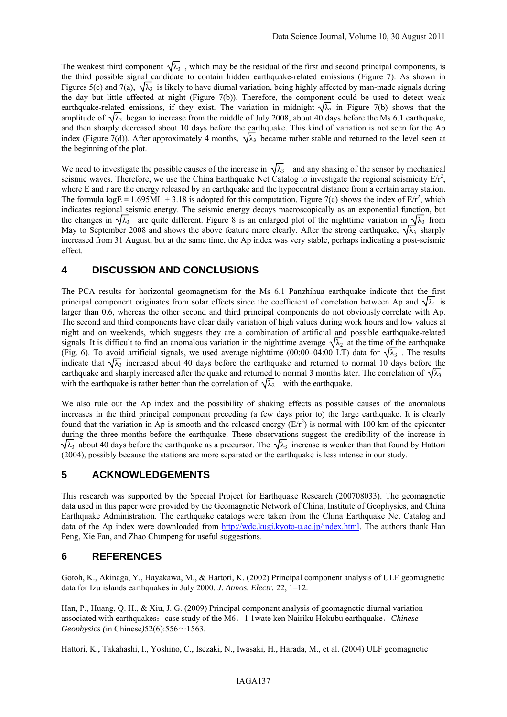The weakest third component  $\sqrt{\lambda_3}$ , which may be the residual of the first and second principal components, is the third possible signal candidate to contain hidden earthquake-related emissions (Figure 7). As shown in Figures 5(c) and 7(a),  $\sqrt{\lambda_3}$  is likely to have diurnal variation, being highly affected by man-made signals during the day but little affected at night (Figure 7(b)). Therefore, the component could be used to detect weak earthquake-related emissions, if they exist. The variation in midnight  $\sqrt{\lambda_3}$  in Figure 7(b) shows that the amplitude of  $\sqrt{\lambda_3}$  began to increase from the middle of July 2008, about 40 days before the Ms 6.1 earthquake, and then sharply decreased about 10 days before the earthquake. This kind of variation is not seen for the Ap index (Figure 7(d)). After approximately 4 months,  $\sqrt{\lambda_3}$  became rather stable and returned to the level seen at the beginning of the plot.

We need to investigate the possible causes of the increase in  $\sqrt{\lambda_3}$  and any shaking of the sensor by mechanical seismic waves. Therefore, we use the China Earthquake Net Catalog to investigate the regional seismicity  $E/r^2$ , where E and r are the energy released by an earthquake and the hypocentral distance from a certain array station. The formula  $logE = 1.695ML + 3.18$  is adopted for this computation. Figure 7(c) shows the index of  $E/r^2$ , which indicates regional seismic energy. The seismic energy decays macroscopically as an exponential function, but the changes in  $\sqrt{\lambda_3}$  are quite different. Figure 8 is an enlarged plot of the nighttime variation in  $\sqrt{\lambda_3}$  from May to September 2008 and shows the above feature more clearly. After the strong earthquake,  $\sqrt{\lambda_3}$  sharply increased from 31 August, but at the same time, the Ap index was very stable, perhaps indicating a post-seismic effect.

# **4 DISCUSSION AND CONCLUSIONS**

The PCA results for horizontal geomagnetism for the Ms 6.1 Panzhihua earthquake indicate that the first principal component originates from solar effects since the coefficient of correlation between Ap and  $\sqrt{\lambda_1}$  is larger than 0.6, whereas the other second and third principal components do not obviously correlate with Ap. The second and third components have clear daily variation of high values during work hours and low values at night and on weekends, which suggests they are a combination of artificial and possible earthquake-related signals. It is difficult to find an anomalous variation in the nighttime average  $\sqrt{\lambda_2}$  at the time of the earthquake (Fig. 6). To avoid artificial signals, we used average nighttime (00:00–04:00 LT) data for  $\sqrt{\lambda_3}$ . The results indicate that  $\sqrt{\lambda_3}$  increased about 40 days before the earthquake and returned to normal 10 days before the earthquake and sharply increased after the quake and returned to normal 3 months later. The correlation of  $\sqrt{\lambda_3}$ with the earthquake is rather better than the correlation of  $\sqrt{\lambda_2}$  with the earthquake.

We also rule out the Ap index and the possibility of shaking effects as possible causes of the anomalous increases in the third principal component preceding (a few days prior to) the large earthquake. It is clearly found that the variation in Ap is smooth and the released energy  $(E/r^2)$  is normal with 100 km of the epicenter during the three months before the earthquake. These observations suggest the credibility of the increase in  $\sqrt{\lambda_3}$  about 40 days before the earthquake as a precursor. The  $\sqrt{\lambda_3}$  increase is weaker than that found by Hattori (2004), possibly because the stations are more separated or the earthquake is less intense in our study.

#### **5 ACKNOWLEDGEMENTS**

This research was supported by the Special Project for Earthquake Research (200708033). The geomagnetic data used in this paper were provided by the Geomagnetic Network of China, Institute of Geophysics, and China Earthquake Administration. The earthquake catalogs were taken from the China Earthquake Net Catalog and data of the Ap index were downloaded from http://wdc.kugi.kyoto-u.ac.jp/index.html. The authors thank Han Peng, Xie Fan, and Zhao Chunpeng for useful suggestions.

# **6 REFERENCES**

Gotoh, K., Akinaga, Y., Hayakawa, M., & Hattori, K. (2002) Principal component analysis of ULF geomagnetic data for Izu islands earthquakes in July 2000. *J. Atmos. Electr.* 22, 1–12.

Han, P., Huang, Q. H., & Xiu, J. G. (2009) Principal component analysis of geomagnetic diurnal variation associated with earthquakes: case study of the M6. 1 1wate ken Nairiku Hokubu earthquake. *Chinese Geophysics (*in Chinese*)*52(6):556~1563.

Hattori, K., Takahashi, I., Yoshino, C., Isezaki, N., Iwasaki, H., Harada, M., et al. (2004) ULF geomagnetic